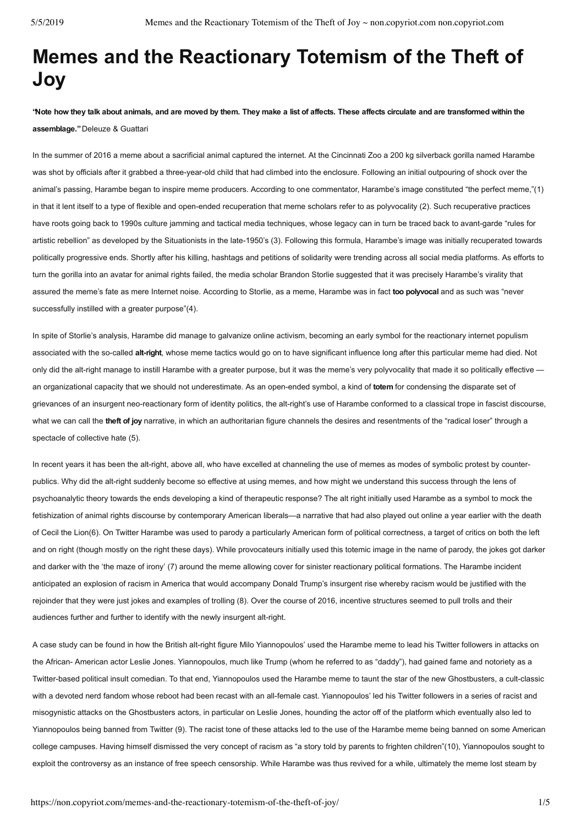# **Memes and the Reactionary Totemism of the Theft of Joy**

**"Note how they talk about animals, and are moved by them. They make a list of affects. These affects circulate and are transformed within the assemblage."** Deleuze & Guattari

In the summer of 2016 a meme about a sacrificial animal captured the internet. At the Cincinnati Zoo a 200 kg silverback gorilla named Harambe was shot by officials after it grabbed a three-year-old child that had climbed into the enclosure. Following an initial outpouring of shock over the animal's passing, Harambe began to inspire meme producers. According to one commentator, Harambe's image constituted "the perfect meme,"(1) in that it lent itself to a type of flexible and open-ended recuperation that meme scholars refer to as polyvocality (2). Such recuperative practices have roots going back to 1990s culture jamming and tactical media techniques, whose legacy can in turn be traced back to avant-garde "rules for artistic rebellion" as developed by the Situationists in the late-1950's (3). Following this formula, Harambe's image was initially recuperated towards politically progressive ends. Shortly after his killing, hashtags and petitions of solidarity were trending across all social media platforms. As efforts to turn the gorilla into an avatar for animal rights failed, the media scholar Brandon Storlie suggested that it was precisely Harambe's virality that assured the meme's fate as mere Internet noise. According to Storlie, as a meme, Harambe was in fact **too polyvocal** and as such was "never successfully instilled with a greater purpose"(4).

In spite of Storlie's analysis, Harambe did manage to galvanize online activism, becoming an early symbol for the reactionary internet populism associated with the so-called alt-right, whose meme tactics would go on to have significant influence long after this particular meme had died. Not only did the alt-right manage to instill Harambe with a greater purpose, but it was the meme's very polyvocality that made it so politically effective an organizational capacity that we should not underestimate. As an open-ended symbol, a kind of totem for condensing the disparate set of grievances of an insurgent neo-reactionary form of identity politics, the alt-right's use of Harambe conformed to a classical trope in fascist discourse, what we can call the **theft of joy** narrative, in which an authoritarian figure channels the desires and resentments of the "radical loser" through a spectacle of collective hate (5).

In recent years it has been the alt-right, above all, who have excelled at channeling the use of memes as modes of symbolic protest by counterpublics. Why did the alt-right suddenly become so effective at using memes, and how might we understand this success through the lens of psychoanalytic theory towards the ends developing a kind of therapeutic response? The alt right initially used Harambe as a symbol to mock the fetishization of animal rights discourse by contemporary American liberals—a narrative that had also played out online a year earlier with the death of Cecil the Lion(6). On Twitter Harambe was used to parody a particularly American form of political correctness, a target of critics on both the left and on right (though mostly on the right these days). While provocateurs initially used this totemic image in the name of parody, the jokes got darker and darker with the 'the maze of irony' (7) around the meme allowing cover for sinister reactionary political formations. The Harambe incident anticipated an explosion of racism in America that would accompany Donald Trump's insurgent rise whereby racism would be justified with the rejoinder that they were just jokes and examples of trolling (8). Over the course of 2016, incentive structures seemed to pull trolls and their audiences further and further to identify with the newly insurgent alt-right.

A case study can be found in how the British alt-right figure Milo Yiannopoulos' used the Harambe meme to lead his Twitter followers in attacks on the African-American actor Leslie Jones. Yiannopoulos, much like Trump (whom he referred to as "daddy"), had gained fame and notoriety as a Twitter-based political insult comedian. To that end, Yiannopoulos used the Harambe meme to taunt the star of the new Ghostbusters, a cult-classic with a devoted nerd fandom whose reboot had been recast with an all-female cast. Yiannopoulos' led his Twitter followers in a series of racist and misogynistic attacks on the Ghostbusters actors, in particular on Leslie Jones, hounding the actor off of the platform which eventually also led to Yiannopoulos being banned from Twitter (9). The racist tone of these attacks led to the use of the Harambe meme being banned on some American college campuses. Having himself dismissed the very concept of racism as "a story told by parents to frighten children"(10), Yiannopoulos sought to exploit the controversy as an instance of free speech censorship. While Harambe was thus revived for a while, ultimately the meme lost steam by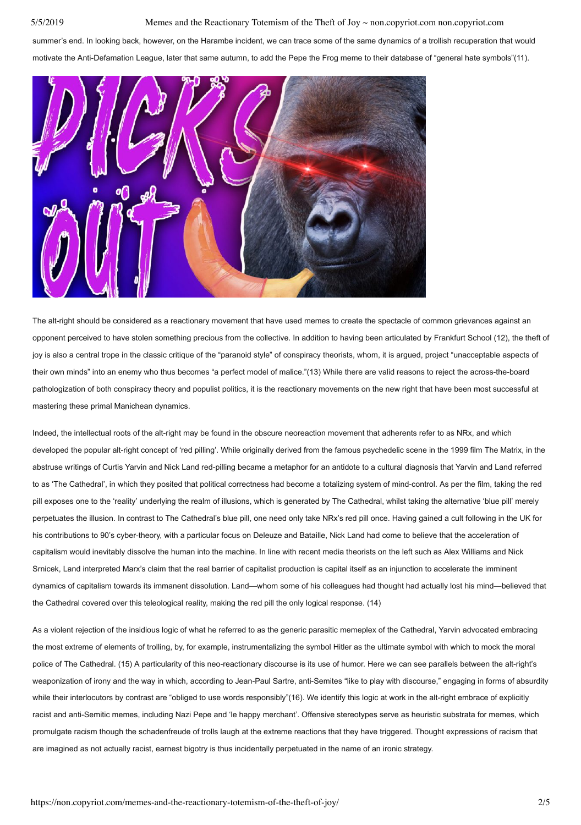summer's end. In looking back, however, on the Harambe incident, we can trace some of the same dynamics of a trollish recuperation that would motivate the Anti-Defamation League, later that same autumn, to add the Pepe the Frog meme to their database of "general hate symbols"(11).



The alt-right should be considered as a reactionary movement that have used memes to create the spectacle of common grievances against an opponent perceived to have stolen something precious from the collective. In addition to having been articulated by Frankfurt School (12), the theft of joy is also a central trope in the classic critique of the "paranoid style" of conspiracy theorists, whom, it is argued, project "unacceptable aspects of their own minds" into an enemy who thus becomes "a perfect model of malice."(13) While there are valid reasons to reject the across-the-board pathologization of both conspiracy theory and populist politics, it is the reactionary movements on the new right that have been most successful at mastering these primal Manichean dynamics.

Indeed, the intellectual roots of the alt-right may be found in the obscure neoreaction movement that adherents refer to as NRx, and which developed the popular alt-right concept of 'red pilling'. While originally derived from the famous psychedelic scene in the 1999 film The Matrix, in the abstruse writings of Curtis Yarvin and Nick Land red-pilling became a metaphor for an antidote to a cultural diagnosis that Yarvin and Land referred to as 'The Cathedral', in which they posited that political correctness had become a totalizing system of mind-control. As per the film, taking the red pill exposes one to the 'reality' underlying the realm of illusions, which is generated by The Cathedral, whilst taking the alternative 'blue pill' merely perpetuates the illusion. In contrast to The Cathedral's blue pill, one need only take NRx's red pill once. Having gained a cult following in the UK for his contributions to 90's cyber-theory, with a particular focus on Deleuze and Bataille, Nick Land had come to believe that the acceleration of capitalism would inevitably dissolve the human into the machine. In line with recent media theorists on the left such as Alex Williams and Nick Srnicek, Land interpreted Marx's claim that the real barrier of capitalist production is capital itself as an injunction to accelerate the imminent dynamics of capitalism towards its immanent dissolution. Land—whom some of his colleagues had thought had actually lost his mind—believed that the Cathedral covered over this teleological reality, making the red pill the only logical response. (14)

As a violent rejection of the insidious logic of what he referred to as the generic parasitic memeplex of the Cathedral, Yarvin advocated embracing the most extreme of elements of trolling, by, for example, instrumentalizing the symbol Hitler as the ultimate symbol with which to mock the moral police of The Cathedral. (15) A particularity of this neo-reactionary discourse is its use of humor. Here we can see parallels between the alt-right's weaponization of irony and the way in which, according to Jean-Paul Sartre, anti-Semites "like to play with discourse," engaging in forms of absurdity while their interlocutors by contrast are "obliged to use words responsibly"(16). We identify this logic at work in the alt-right embrace of explicitly racist and anti-Semitic memes, including Nazi Pepe and 'le happy merchant'. Offensive stereotypes serve as heuristic substrata for memes, which promulgate racism though the schadenfreude of trolls laugh at the extreme reactions that they have triggered. Thought expressions of racism that are imagined as not actually racist, earnest bigotry is thus incidentally perpetuated in the name of an ironic strategy.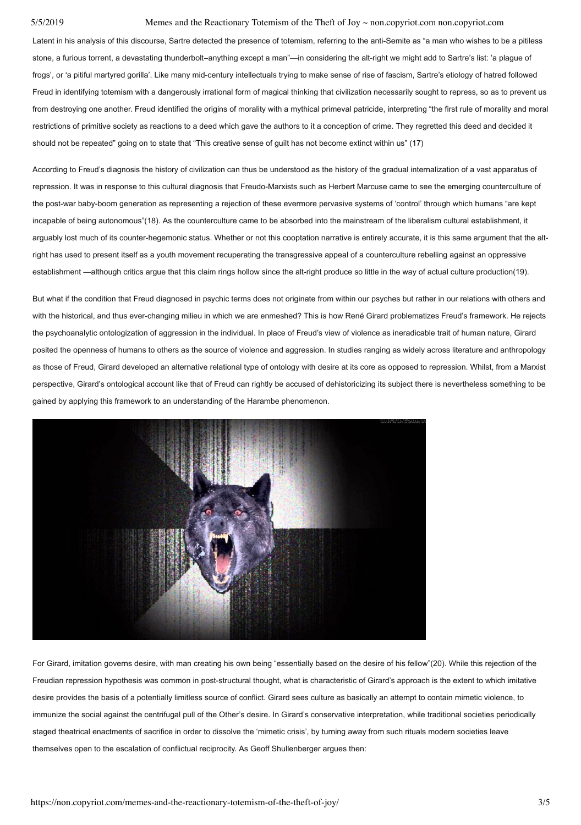Latent in his analysis of this discourse, Sartre detected the presence of totemism, referring to the anti-Semite as "a man who wishes to be a pitiless stone, a furious torrent, a devastating thunderbolt-anything except a man"—in considering the alt-right we might add to Sartre's list: 'a plague of frogs', or 'a pitiful martyred gorilla'. Like many mid-century intellectuals trying to make sense of rise of fascism. Sartre's etiology of hatred followed Freud in identifying totemism with a dangerously irrational form of magical thinking that civilization necessarily sought to repress, so as to prevent us from destroying one another. Freud identified the origins of morality with a mythical primeval patricide, interpreting "the first rule of morality and moral restrictions of primitive society as reactions to a deed which gave the authors to it a conception of crime. They regretted this deed and decided it should not be repeated" going on to state that "This creative sense of guilt has not become extinct within us" (17)

According to Freud's diagnosis the history of civilization can thus be understood as the history of the gradual internalization of a vast apparatus of repression. It was in response to this cultural diagnosis that Freudo-Marxists such as Herbert Marcuse came to see the emerging counterculture of the post-war baby-boom generation as representing a rejection of these evermore pervasive systems of 'control' through which humans "are kept incapable of being autonomous"(18). As the counterculture came to be absorbed into the mainstream of the liberalism cultural establishment, it arguably lost much of its counter-hegemonic status. Whether or not this cooptation narrative is entirely accurate, it is this same argument that the altright has used to present itself as a youth movement recuperating the transgressive appeal of a counterculture rebelling against an oppressive establishment —although critics argue that this claim rings hollow since the alt-right produce so little in the way of actual culture production(19).

But what if the condition that Freud diagnosed in psychic terms does not originate from within our psyches but rather in our relations with others and with the historical, and thus ever-changing milieu in which we are enmeshed? This is how René Girard problematizes Freud's framework. He rejects the psychoanalytic ontologization of aggression in the individual. In place of Freud's view of violence as ineradicable trait of human nature, Girard posited the openness of humans to others as the source of violence and aggression. In studies ranging as widely across literature and anthropology as those of Freud, Girard developed an alternative relational type of ontology with desire at its core as opposed to repression. Whilst, from a Marxist perspective, Girard's ontological account like that of Freud can rightly be accused of dehistoricizing its subject there is nevertheless something to be gained by applying this framework to an understanding of the Harambe phenomenon.



For Girard, imitation governs desire, with man creating his own being "essentially based on the desire of his fellow"(20). While this rejection of the Freudian repression hypothesis was common in post-structural thought, what is characteristic of Girard's approach is the extent to which imitative desire provides the basis of a potentially limitless source of conflict. Girard sees culture as basically an attempt to contain mimetic violence, to immunize the social against the centrifugal pull of the Other's desire. In Girard's conservative interpretation, while traditional societies periodically staged theatrical enactments of sacrifice in order to dissolve the 'mimetic crisis', by turning away from such rituals modern societies leave themselves open to the escalation of conflictual reciprocity. As Geoff Shullenberger argues then: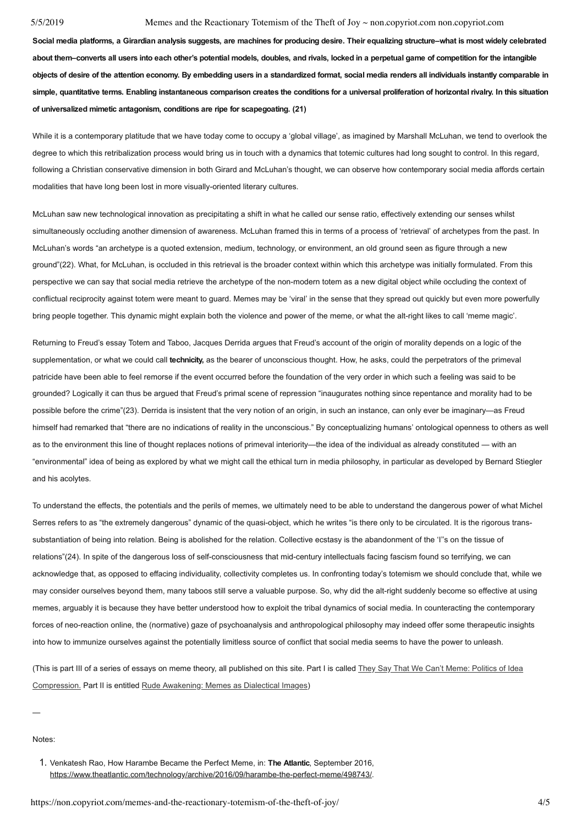**Social media platforms, a Girardian analysis suggests, are machines for producing desire. Their equalizing structure–what is most widely celebrated about them–converts all users into each other's potential models, doubles, and rivals, locked in a perpetual game of competition for the intangible objects of desire of the attention economy. By embedding users in a standardized format, social media renders all individuals instantly comparable in simple, quantitative terms. Enabling instantaneous comparison creates the conditions for a universal proliferation of horizontal rivalry. In this situation of universalized mimetic antagonism, conditions are ripe for scapegoating. (21)**

While it is a contemporary platitude that we have today come to occupy a 'global village', as imagined by Marshall McLuhan, we tend to overlook the degree to which this retribalization process would bring us in touch with a dynamics that totemic cultures had long sought to control. In this regard, following a Christian conservative dimension in both Girard and McLuhan's thought, we can observe how contemporary social media affords certain modalities that have long been lost in more visually-oriented literary cultures.

McLuhan saw new technological innovation as precipitating a shift in what he called our sense ratio, effectively extending our senses whilst simultaneously occluding another dimension of awareness. McLuhan framed this in terms of a process of 'retrieval' of archetypes from the past. In McLuhan's words "an archetype is a quoted extension, medium, technology, or environment, an old ground seen as figure through a new ground"(22). What, for McLuhan, is occluded in this retrieval is the broader context within which this archetype was initially formulated. From this perspective we can say that social media retrieve the archetype of the non-modern totem as a new digital object while occluding the context of conflictual reciprocity against totem were meant to guard. Memes may be 'viral' in the sense that they spread out quickly but even more powerfully bring people together. This dynamic might explain both the violence and power of the meme, or what the alt-right likes to call 'meme magic'.

Returning to Freud's essay Totem and Taboo, Jacques Derrida argues that Freud's account of the origin of morality depends on a logic of the supplementation, or what we could call **technicity,** as the bearer of unconscious thought. How, he asks, could the perpetrators of the primeval patricide have been able to feel remorse if the event occurred before the foundation of the very order in which such a feeling was said to be grounded? Logically it can thus be argued that Freud's primal scene of repression "inaugurates nothing since repentance and morality had to be possible before the crime"(23). Derrida is insistent that the very notion of an origin, in such an instance, can only ever be imaginary—as Freud himself had remarked that "there are no indications of reality in the unconscious." By conceptualizing humans' ontological openness to others as well as to the environment this line of thought replaces notions of primeval interiority—the idea of the individual as already constituted — with an "environmental" idea of being as explored by what we might call the ethical turn in media philosophy, in particular as developed by Bernard Stiegler and his acolytes.

To understand the effects, the potentials and the perils of memes, we ultimately need to be able to understand the dangerous power of what Michel Serres refers to as "the extremely dangerous" dynamic of the quasi-object, which he writes "is there only to be circulated. It is the rigorous transsubstantiation of being into relation. Being is abolished for the relation. Collective ecstasy is the abandonment of the 'I''s on the tissue of relations"(24). In spite of the dangerous loss of self-consciousness that mid-century intellectuals facing fascism found so terrifying, we can acknowledge that, as opposed to effacing individuality, collectivity completes us. In confronting today's totemism we should conclude that, while we may consider ourselves beyond them, many taboos still serve a valuable purpose. So, why did the alt-right suddenly become so effective at using memes, arguably it is because they have better understood how to exploit the tribal dynamics of social media. In counteracting the contemporary forces of neo-reaction online, the (normative) gaze of psychoanalysis and anthropological philosophy may indeed offer some therapeutic insights into how to immunize ourselves against the potentially limitless source of conflict that social media seems to have the power to unleash.

(This is part III of a series of essays on meme theory, all published on this site. Part I is called They Say That We Can't Meme: Politics of Idea Compression. Part II is entitled Rude Awakening: Memes as Dialectical Images)

—

Notes:

1. Venkatesh Rao, How Harambe Became the Perfect Meme, in: **The Atlantic**, September 2016, https://www.theatlantic.com/technology/archive/2016/09/harambe-the-perfect-meme/498743/.